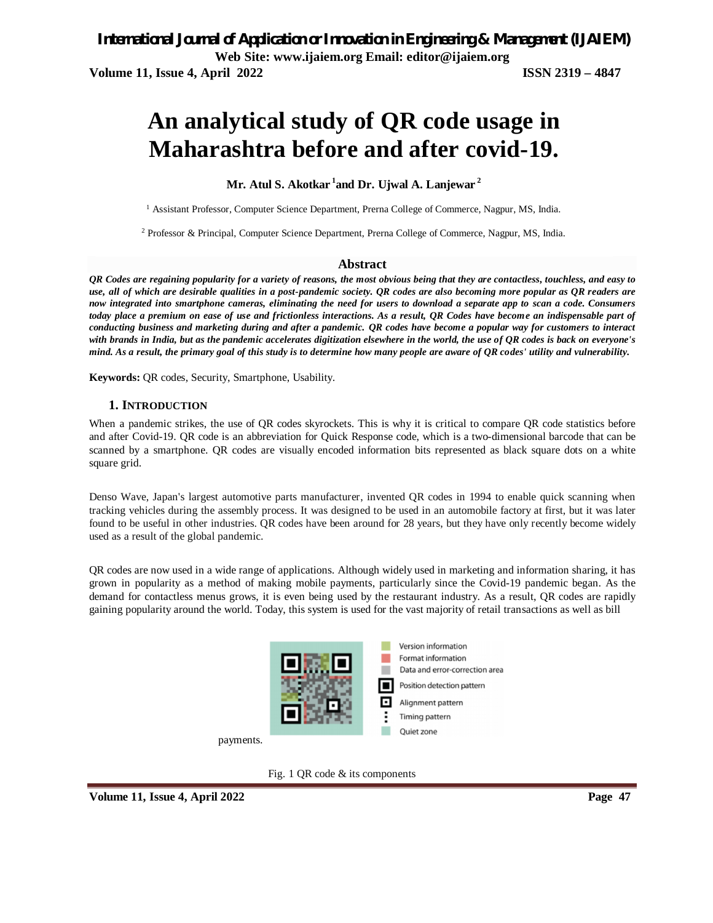# **An analytical study of QR code usage in Maharashtra before and after covid-19.**

#### **Mr. Atul S. Akotkar <sup>1</sup> and Dr. Ujwal A. Lanjewar <sup>2</sup>**

<sup>1</sup> Assistant Professor, Computer Science Department, Prerna College of Commerce, Nagpur, MS, India.

<sup>2</sup> Professor & Principal, Computer Science Department, Prerna College of Commerce, Nagpur, MS, India.

#### **Abstract**

*QR Codes are regaining popularity for a variety of reasons, the most obvious being that they are contactless, touchless, and easy to use, all of which are desirable qualities in a post-pandemic society. QR codes are also becoming more popular as QR readers are now integrated into smartphone cameras, eliminating the need for users to download a separate app to scan a code. Consumers today place a premium on ease of use and frictionless interactions. As a result, QR Codes have become an indispensable part of conducting business and marketing during and after a pandemic. QR codes have become a popular way for customers to interact with brands in India, but as the pandemic accelerates digitization elsewhere in the world, the use of QR codes is back on everyone's mind. As a result, the primary goal of this study is to determine how many people are aware of QR codes' utility and vulnerability.*

**Keywords:** QR codes, Security, Smartphone, Usability.

#### **1. INTRODUCTION**

When a pandemic strikes, the use of QR codes skyrockets. This is why it is critical to compare QR code statistics before and after Covid-19. QR code is an abbreviation for Quick Response code, which is a two-dimensional barcode that can be scanned by a smartphone. QR codes are visually encoded information bits represented as black square dots on a white square grid.

Denso Wave, Japan's largest automotive parts manufacturer, invented QR codes in 1994 to enable quick scanning when tracking vehicles during the assembly process. It was designed to be used in an automobile factory at first, but it was later found to be useful in other industries. QR codes have been around for 28 years, but they have only recently become widely used as a result of the global pandemic.

QR codes are now used in a wide range of applications. Although widely used in marketing and information sharing, it has grown in popularity as a method of making mobile payments, particularly since the Covid-19 pandemic began. As the demand for contactless menus grows, it is even being used by the restaurant industry. As a result, QR codes are rapidly gaining popularity around the world. Today, this system is used for the vast majority of retail transactions as well as bill



payments.

Fig. 1 QR code & its components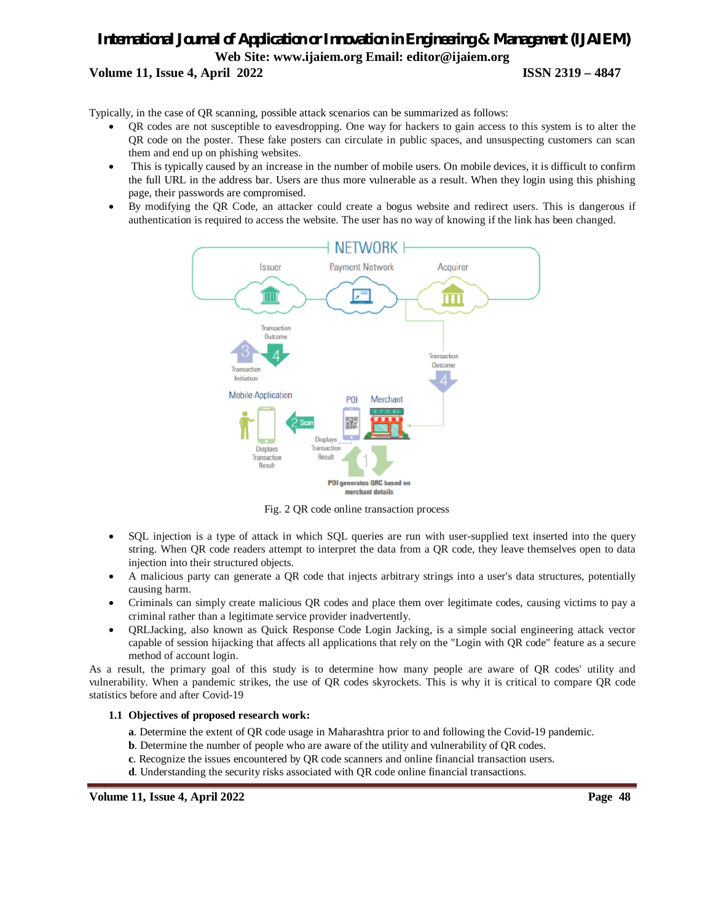## *International Journal of Application or Innovation in Engineering & Management (IJAIEM)* **Web Site: www.ijaiem.org Email: editor@ijaiem.org Volume 11, Issue 4, April 2022 ISSN 2319 – 4847**

Typically, in the case of QR scanning, possible attack scenarios can be summarized as follows:

- QR codes are not susceptible to eavesdropping. One way for hackers to gain access to this system is to alter the QR code on the poster. These fake posters can circulate in public spaces, and unsuspecting customers can scan them and end up on phishing websites.
- This is typically caused by an increase in the number of mobile users. On mobile devices, it is difficult to confirm the full URL in the address bar. Users are thus more vulnerable as a result. When they login using this phishing page, their passwords are compromised.
- By modifying the QR Code, an attacker could create a bogus website and redirect users. This is dangerous if authentication is required to access the website. The user has no way of knowing if the link has been changed.



Fig. 2 QR code online transaction process

- SQL injection is a type of attack in which SQL queries are run with user-supplied text inserted into the query string. When QR code readers attempt to interpret the data from a QR code, they leave themselves open to data injection into their structured objects.
- A malicious party can generate a QR code that injects arbitrary strings into a user's data structures, potentially causing harm.
- Criminals can simply create malicious QR codes and place them over legitimate codes, causing victims to pay a criminal rather than a legitimate service provider inadvertently.
- QRLJacking, also known as Quick Response Code Login Jacking, is a simple social engineering attack vector capable of session hijacking that affects all applications that rely on the "Login with QR code" feature as a secure method of account login.

As a result, the primary goal of this study is to determine how many people are aware of QR codes' utility and vulnerability. When a pandemic strikes, the use of QR codes skyrockets. This is why it is critical to compare QR code statistics before and after Covid-19

#### **1.1 Objectives of proposed research work:**

- **a**. Determine the extent of QR code usage in Maharashtra prior to and following the Covid-19 pandemic.
- **b**. Determine the number of people who are aware of the utility and vulnerability of QR codes.
- **c**. Recognize the issues encountered by QR code scanners and online financial transaction users.
- **d**. Understanding the security risks associated with QR code online financial transactions.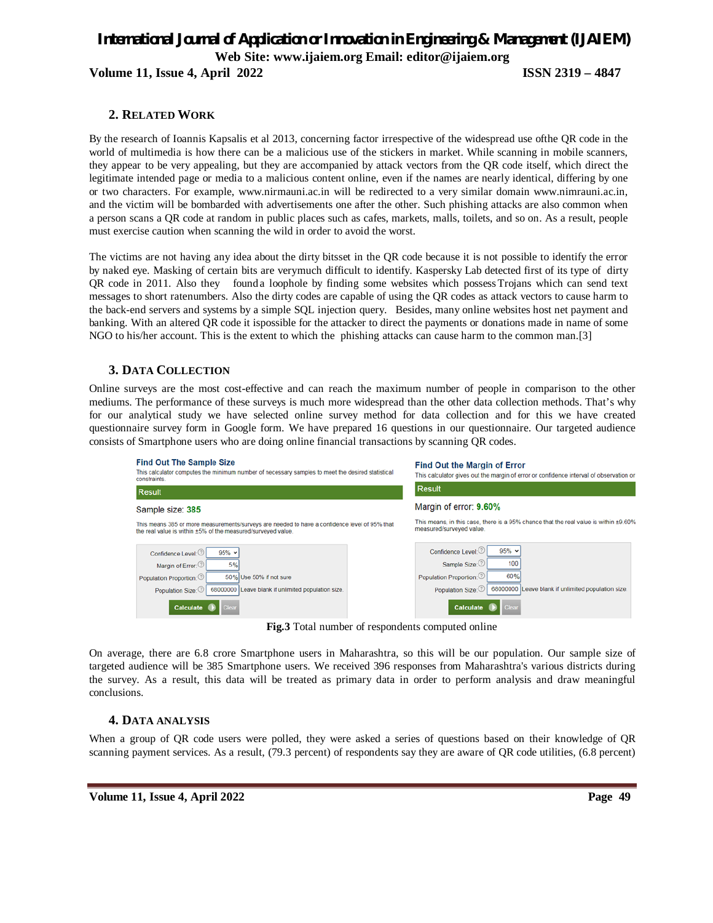# *International Journal of Application or Innovation in Engineering & Management (IJAIEM)* **Web Site: www.ijaiem.org Email: editor@ijaiem.org**

**Volume 11, Issue 4, April 2022 ISSN 2319 – 4847**

#### **2. RELATED WORK**

By the research of Ioannis Kapsalis et al 2013, concerning factor irrespective of the widespread use ofthe QR code in the world of multimedia is how there can be a malicious use of the stickers in market. While scanning in mobile scanners, they appear to be very appealing, but they are accompanied by attack vectors from the QR code itself, which direct the legitimate intended page or media to a malicious content online, even if the names are nearly identical, differing by one or two characters. For example, www.nirmauni.ac.in will be redirected to a very similar domain www.nimrauni.ac.in, and the victim will be bombarded with advertisements one after the other. Such phishing attacks are also common when a person scans a QR code at random in public places such as cafes, markets, malls, toilets, and so on. As a result, people must exercise caution when scanning the wild in order to avoid the worst.

The victims are not having any idea about the dirty bitsset in the QR code because it is not possible to identify the error by naked eye. Masking of certain bits are verymuch difficult to identify. Kaspersky Lab detected first of its type of dirty QR code in 2011. Also they found a loophole by finding some websites which possessTrojans which can send text messages to short ratenumbers. Also the dirty codes are capable of using the QR codes as attack vectors to cause harm to the back-end servers and systems by a simple SQL injection query. Besides, many online websites host net payment and banking. With an altered QR code it ispossible for the attacker to direct the payments or donations made in name of some NGO to his/her account. This is the extent to which the phishing attacks can cause harm to the common man.[3]

#### **3. DATA COLLECTION**

Online surveys are the most cost-effective and can reach the maximum number of people in comparison to the other mediums. The performance of these surveys is much more widespread than the other data collection methods. That's why for our analytical study we have selected online survey method for data collection and for this we have created questionnaire survey form in Google form. We have prepared 16 questions in our questionnaire. Our targeted audience consists of Smartphone users who are doing online financial transactions by scanning QR codes.

| <b>Find Out The Sample Size</b><br>This calculator computes the minimum number of necessary samples to meet the desired statistical<br>constraints.                                                                     | <b>Find Out the Margin of Error</b><br>This calculator gives out the margin of error or confidence interval of observation or                                                                    |
|-------------------------------------------------------------------------------------------------------------------------------------------------------------------------------------------------------------------------|--------------------------------------------------------------------------------------------------------------------------------------------------------------------------------------------------|
| <b>Result</b>                                                                                                                                                                                                           | <b>Result</b>                                                                                                                                                                                    |
| Sample size: 385                                                                                                                                                                                                        | Margin of error: 9.60%                                                                                                                                                                           |
| This means 385 or more measurements/surveys are needed to have a confidence level of 95% that<br>the real value is within ±5% of the measured/surveyed value.                                                           | This means, in this case, there is a 95% chance that the real value is within ±9.60%<br>measured/surveyed value.                                                                                 |
| $95% \arrow$<br>Confidence Level:<br>5%<br>Margin of Error:<br>Population Proportion:<br>50% Use 50% if not sure<br>68000000 Leave blank if unlimited population size.<br>Population Size:<br>Calculate<br><b>Clear</b> | $95% \arrow$<br>Confidence Level:<br>100<br>Sample Size:<br>60%<br>Population Proportion:<br>68000000 Leave blank if unlimited population size.<br>Population Size:<br>Calculate<br><b>Clear</b> |

**Fig.3** Total number of respondents computed online

On average, there are 6.8 crore Smartphone users in Maharashtra, so this will be our population. Our sample size of targeted audience will be 385 Smartphone users. We received 396 responses from Maharashtra's various districts during the survey. As a result, this data will be treated as primary data in order to perform analysis and draw meaningful conclusions.

#### **4. DATA ANALYSIS**

When a group of QR code users were polled, they were asked a series of questions based on their knowledge of QR scanning payment services. As a result, (79.3 percent) of respondents say they are aware of QR code utilities, (6.8 percent)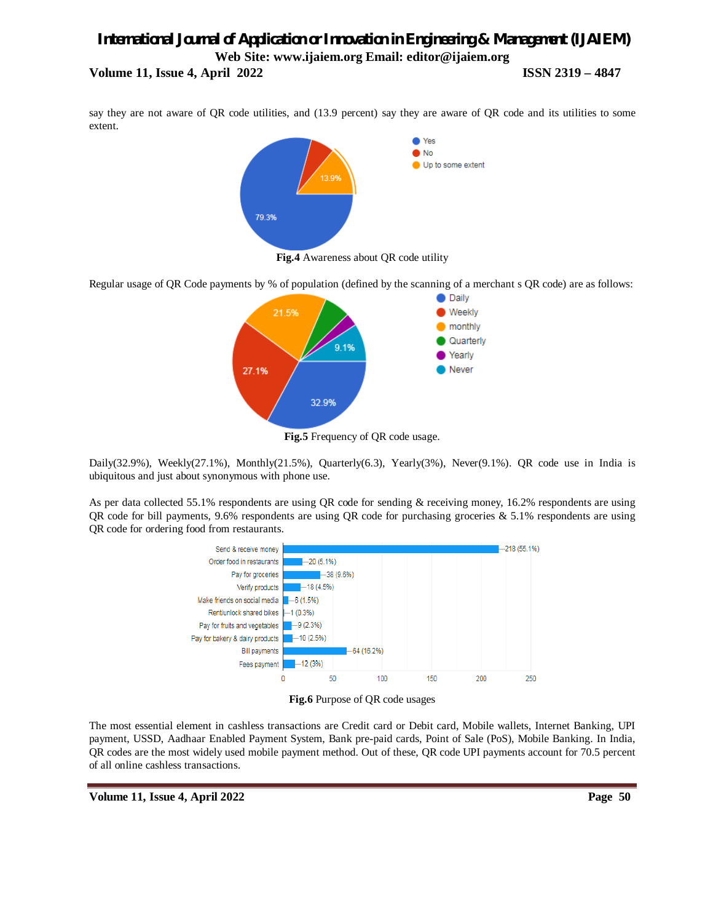### *International Journal of Application or Innovation in Engineering & Management (IJAIEM)* **Web Site: www.ijaiem.org Email: editor@ijaiem.org Volume 11, Issue 4, April 2022 ISSN 2319 – 4847**

say they are not aware of QR code utilities, and (13.9 percent) say they are aware of QR code and its utilities to some extent.



**Fig.4** Awareness about QR code utility

Regular usage of QR Code payments by % of population (defined by the scanning of a merchant s QR code) are as follows:



**Fig.5** Frequency of QR code usage.

Daily(32.9%), Weekly(27.1%), Monthly(21.5%), Quarterly(6.3), Yearly(3%), Never(9.1%). QR code use in India is ubiquitous and just about synonymous with phone use.

As per data collected 55.1% respondents are using QR code for sending & receiving money, 16.2% respondents are using QR code for bill payments, 9.6% respondents are using QR code for purchasing groceries & 5.1% respondents are using QR code for ordering food from restaurants.





The most essential element in cashless transactions are Credit card or Debit card, Mobile wallets, Internet Banking, UPI payment, USSD, Aadhaar Enabled Payment System, Bank pre-paid cards, Point of Sale (PoS), Mobile Banking. In India, QR codes are the most widely used mobile payment method. Out of these, QR code UPI payments account for 70.5 percent of all online cashless transactions.

**Volume 11, Issue 4, April 2022 Page 50**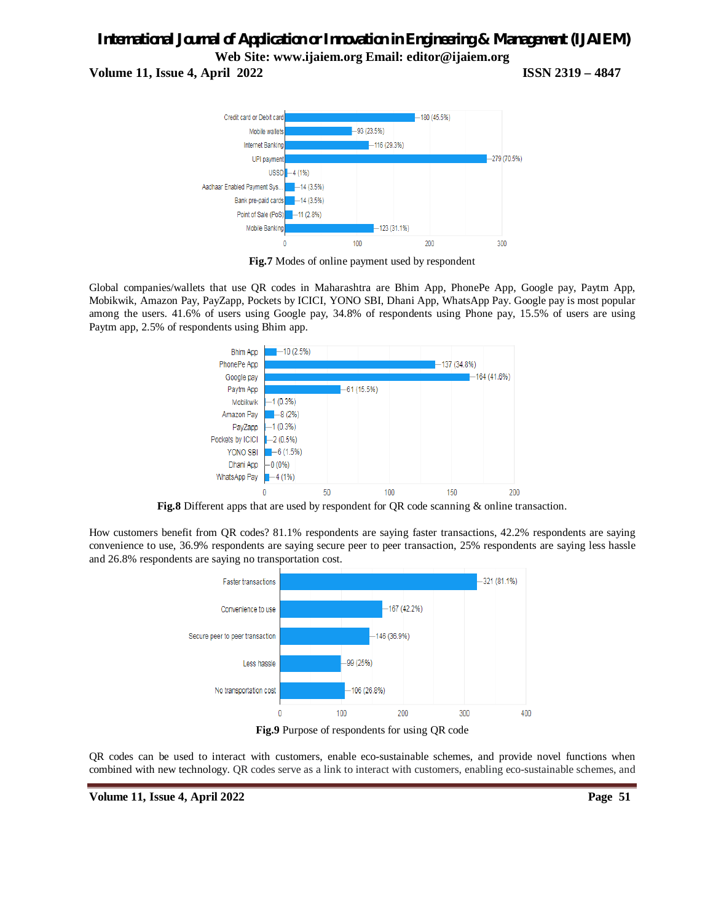# *International Journal of Application or Innovation in Engineering & Management (IJAIEM)* **Web Site: www.ijaiem.org Email: editor@ijaiem.org**

**Volume 11, Issue 4, April 2022 ISSN 2319 – 4847**



**Fig.7** Modes of online payment used by respondent

Global companies/wallets that use QR codes in Maharashtra are Bhim App, PhonePe App, Google pay, Paytm App, Mobikwik, Amazon Pay, PayZapp, Pockets by ICICI, YONO SBI, Dhani App, WhatsApp Pay. Google pay is most popular among the users. 41.6% of users using Google pay, 34.8% of respondents using Phone pay, 15.5% of users are using Paytm app, 2.5% of respondents using Bhim app.



**Fig.8** Different apps that are used by respondent for QR code scanning & online transaction.

How customers benefit from QR codes? 81.1% respondents are saying faster transactions, 42.2% respondents are saying convenience to use, 36.9% respondents are saying secure peer to peer transaction, 25% respondents are saying less hassle and 26.8% respondents are saying no transportation cost.



**Fig.9** Purpose of respondents for using QR code

QR codes can be used to interact with customers, enable eco-sustainable schemes, and provide novel functions when combined with new technology. QR codes serve as a link to interact with customers, enabling eco-sustainable schemes, and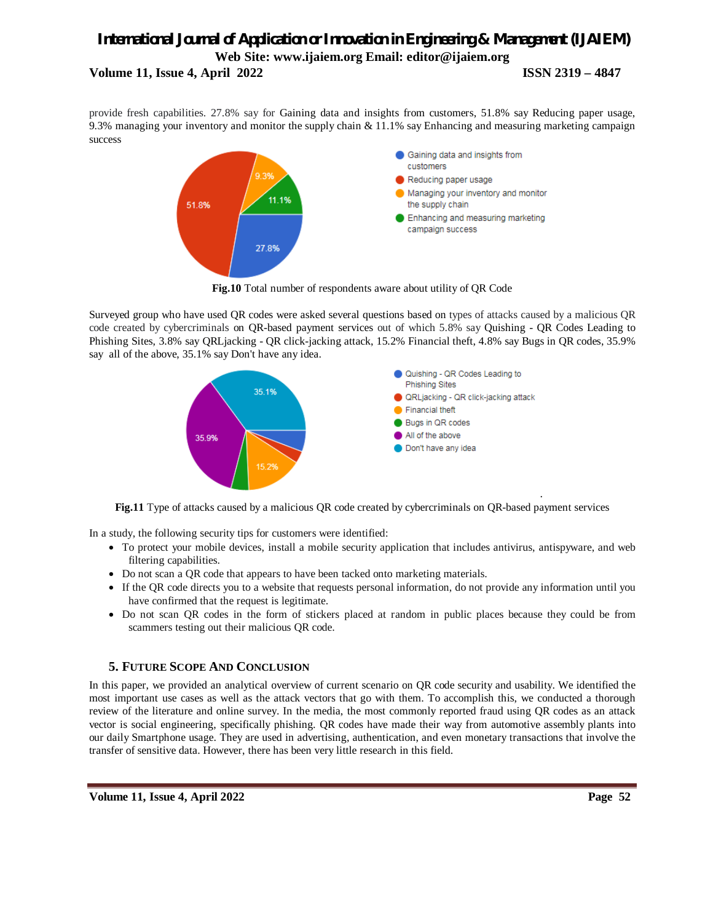## *International Journal of Application or Innovation in Engineering & Management (IJAIEM)* **Web Site: www.ijaiem.org Email: editor@ijaiem.org Volume 11, Issue 4, April 2022 ISSN 2319 – 4847**

provide fresh capabilities. 27.8% say for Gaining data and insights from customers, 51.8% say Reducing paper usage, 9.3% managing your inventory and monitor the supply chain & 11.1% say Enhancing and measuring marketing campaign success



**Fig.10** Total number of respondents aware about utility of QR Code

Surveyed group who have used QR codes were asked several questions based on types of attacks caused by a malicious QR code created by cybercriminals on QR-based payment services out of which 5.8% say Quishing - QR Codes Leading to Phishing Sites, 3.8% say QRLjacking - QR click-jacking attack, 15.2% Financial theft, 4.8% say Bugs in QR codes, 35.9% say all of the above, 35.1% say Don't have any idea.



**Fig.11** Type of attacks caused by a malicious QR code created by cybercriminals on QR-based payment services

In a study, the following security tips for customers were identified:

- To protect your mobile devices, install a mobile security application that includes antivirus, antispyware, and web filtering capabilities.
- Do not scan a QR code that appears to have been tacked onto marketing materials.
- If the QR code directs you to a website that requests personal information, do not provide any information until you have confirmed that the request is legitimate.
- Do not scan QR codes in the form of stickers placed at random in public places because they could be from scammers testing out their malicious QR code.

#### **5. FUTURE SCOPE AND CONCLUSION**

In this paper, we provided an analytical overview of current scenario on QR code security and usability. We identified the most important use cases as well as the attack vectors that go with them. To accomplish this, we conducted a thorough review of the literature and online survey. In the media, the most commonly reported fraud using QR codes as an attack vector is social engineering, specifically phishing. QR codes have made their way from automotive assembly plants into our daily Smartphone usage. They are used in advertising, authentication, and even monetary transactions that involve the transfer of sensitive data. However, there has been very little research in this field.